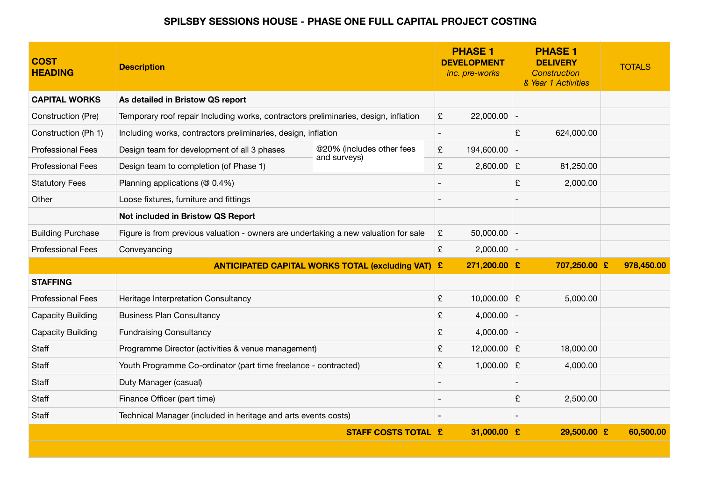## **SPILSBY SESSIONS HOUSE - PHASE ONE FULL CAPITAL PROJECT COSTING**

| <b>COST</b><br><b>HEADING</b> | <b>Description</b>                                                                  |                                                          | <b>PHASE 1</b><br><b>DEVELOPMENT</b><br>inc. pre-works | <b>PHASE 1</b><br><b>DELIVERY</b><br><b>Construction</b><br>& Year 1 Activities | <b>TOTALS</b> |
|-------------------------------|-------------------------------------------------------------------------------------|----------------------------------------------------------|--------------------------------------------------------|---------------------------------------------------------------------------------|---------------|
| <b>CAPITAL WORKS</b>          | As detailed in Bristow QS report                                                    |                                                          |                                                        |                                                                                 |               |
| Construction (Pre)            | Temporary roof repair Including works, contractors preliminaries, design, inflation |                                                          | £<br>$22,000.00$ -                                     |                                                                                 |               |
| Construction (Ph 1)           | Including works, contractors preliminaries, design, inflation                       |                                                          |                                                        | £<br>624,000.00                                                                 |               |
| <b>Professional Fees</b>      | Design team for development of all 3 phases                                         | @20% (includes other fees<br>and surveys)                | £<br>194,600.00                                        |                                                                                 |               |
| <b>Professional Fees</b>      | Design team to completion (of Phase 1)                                              |                                                          | £<br>$2,600.00$ £                                      | 81,250.00                                                                       |               |
| <b>Statutory Fees</b>         | Planning applications (@ 0.4%)                                                      |                                                          |                                                        | £<br>2,000.00                                                                   |               |
| Other                         | Loose fixtures, furniture and fittings                                              |                                                          |                                                        |                                                                                 |               |
|                               | Not included in Bristow QS Report                                                   |                                                          |                                                        |                                                                                 |               |
| <b>Building Purchase</b>      | Figure is from previous valuation - owners are undertaking a new valuation for sale |                                                          | £<br>$50,000.00$ -                                     |                                                                                 |               |
| <b>Professional Fees</b>      | Conveyancing                                                                        |                                                          | £<br>$2,000.00$ -                                      |                                                                                 |               |
|                               |                                                                                     | <b>ANTICIPATED CAPITAL WORKS TOTAL (excluding VAT) £</b> | 271,200.00 £                                           | 707,250.00 £                                                                    | 978,450.00    |
| <b>STAFFING</b>               |                                                                                     |                                                          |                                                        |                                                                                 |               |
| <b>Professional Fees</b>      | Heritage Interpretation Consultancy                                                 |                                                          | £<br>10,000.00 $E$                                     | 5,000.00                                                                        |               |
| <b>Capacity Building</b>      | <b>Business Plan Consultancy</b>                                                    |                                                          | £<br>$4,000.00$ -                                      |                                                                                 |               |
| <b>Capacity Building</b>      | <b>Fundraising Consultancy</b>                                                      |                                                          | $4,000.00$ -<br>£                                      |                                                                                 |               |
| Staff                         | Programme Director (activities & venue management)                                  |                                                          | 12,000.00 $E$<br>£                                     | 18,000.00                                                                       |               |
| Staff                         | Youth Programme Co-ordinator (part time freelance - contracted)                     |                                                          | £<br>1,000.00 $E$                                      | 4,000.00                                                                        |               |
| Staff                         | Duty Manager (casual)                                                               |                                                          |                                                        |                                                                                 |               |
| Staff                         | Finance Officer (part time)                                                         |                                                          |                                                        | £<br>2,500.00                                                                   |               |
| Staff                         | Technical Manager (included in heritage and arts events costs)                      |                                                          |                                                        |                                                                                 |               |
|                               |                                                                                     | <b>STAFF COSTS TOTAL £</b>                               | 31,000.00 £                                            | 29,500.00 £                                                                     | 60,500.00     |